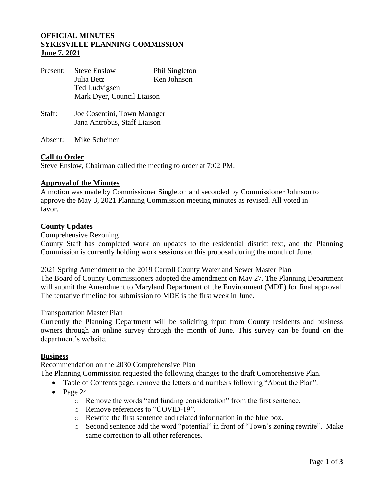# **OFFICIAL MINUTES SYKESVILLE PLANNING COMMISSION June 7, 2021**

| Present: | <b>Steve Enslow</b><br>Julia Betz | Phil Singleton<br>Ken Johnson |
|----------|-----------------------------------|-------------------------------|
|          | Ted Ludvigsen                     |                               |
|          | Mark Dyer, Council Liaison        |                               |
| Staff:   | Joe Cosentini, Town Manager       |                               |
|          | Jana Antrobus, Staff Liaison      |                               |
|          |                                   |                               |

Absent: Mike Scheiner

## **Call to Order**

Steve Enslow, Chairman called the meeting to order at 7:02 PM.

### **Approval of the Minutes**

A motion was made by Commissioner Singleton and seconded by Commissioner Johnson to approve the May 3, 2021 Planning Commission meeting minutes as revised. All voted in favor.

## **County Updates**

Comprehensive Rezoning

County Staff has completed work on updates to the residential district text, and the Planning Commission is currently holding work sessions on this proposal during the month of June.

2021 Spring Amendment to the 2019 Carroll County Water and Sewer Master Plan The Board of County Commissioners adopted the amendment on May 27. The Planning Department will submit the Amendment to Maryland Department of the Environment (MDE) for final approval. The tentative timeline for submission to MDE is the first week in June.

#### Transportation Master Plan

Currently the Planning Department will be soliciting input from County residents and business owners through an online survey through the month of June. This survey can be found on the department's website.

#### **Business**

Recommendation on the 2030 Comprehensive Plan

The Planning Commission requested the following changes to the draft Comprehensive Plan.

- Table of Contents page, remove the letters and numbers following "About the Plan".
- Page 24
	- o Remove the words "and funding consideration" from the first sentence.
	- o Remove references to "COVID-19".
	- o Rewrite the first sentence and related information in the blue box.
	- o Second sentence add the word "potential" in front of "Town's zoning rewrite". Make same correction to all other references.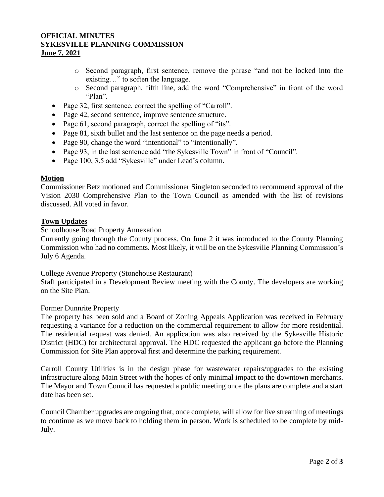# **OFFICIAL MINUTES SYKESVILLE PLANNING COMMISSION June 7, 2021**

- o Second paragraph, first sentence, remove the phrase "and not be locked into the existing…" to soften the language.
- o Second paragraph, fifth line, add the word "Comprehensive" in front of the word "Plan".
- Page 32, first sentence, correct the spelling of "Carroll".
- Page 42, second sentence, improve sentence structure.
- Page 61, second paragraph, correct the spelling of "its".
- Page 81, sixth bullet and the last sentence on the page needs a period.
- Page 90, change the word "intentional" to "intentionally".
- Page 93, in the last sentence add "the Sykesville Town" in front of "Council".
- Page 100, 3.5 add "Sykesville" under Lead's column.

### **Motion**

Commissioner Betz motioned and Commissioner Singleton seconded to recommend approval of the Vision 2030 Comprehensive Plan to the Town Council as amended with the list of revisions discussed. All voted in favor.

## **Town Updates**

## Schoolhouse Road Property Annexation

Currently going through the County process. On June 2 it was introduced to the County Planning Commission who had no comments. Most likely, it will be on the Sykesville Planning Commission's July 6 Agenda.

College Avenue Property (Stonehouse Restaurant)

Staff participated in a Development Review meeting with the County. The developers are working on the Site Plan.

#### Former Dunnrite Property

The property has been sold and a Board of Zoning Appeals Application was received in February requesting a variance for a reduction on the commercial requirement to allow for more residential. The residential request was denied. An application was also received by the Sykesville Historic District (HDC) for architectural approval. The HDC requested the applicant go before the Planning Commission for Site Plan approval first and determine the parking requirement.

Carroll County Utilities is in the design phase for wastewater repairs/upgrades to the existing infrastructure along Main Street with the hopes of only minimal impact to the downtown merchants. The Mayor and Town Council has requested a public meeting once the plans are complete and a start date has been set.

Council Chamber upgrades are ongoing that, once complete, will allow for live streaming of meetings to continue as we move back to holding them in person. Work is scheduled to be complete by mid-July.